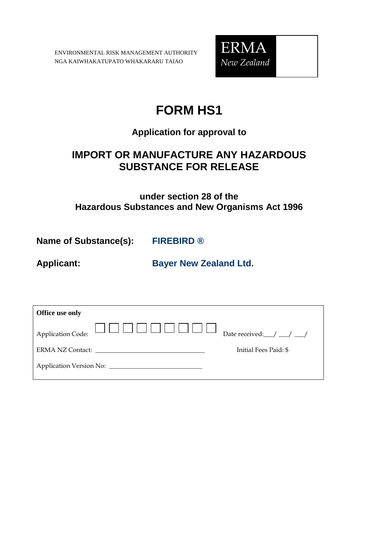ENVIRONMENTAL RISK MANAGEMENT AUTHORITY NGA KAIWHAKATUPATO WHAKARARU TAIAO



# **FORM HS1**

## **Application for approval to**

## **IMPORT OR MANUFACTURE ANY HAZARDOUS SUBSTANCE FOR RELEASE**

### **under section 28 of the Hazardous Substances and New Organisms Act 1996**

**Name of Substance(s): FIREBIRD ®** 

**Applicant: Bayer New Zealand Ltd.**

| Office use only |                                    |
|-----------------|------------------------------------|
|                 | Date received: $\angle$ / $\angle$ |
|                 | Initial Fees Paid: \$              |
|                 |                                    |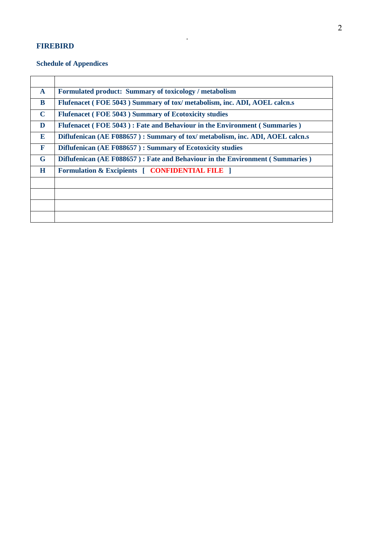### **FIREBIRD**

### **Schedule of Appendices**

| $\mathbf{A}$ | Formulated product: Summary of toxicology / metabolism                         |
|--------------|--------------------------------------------------------------------------------|
| B            | Flufenacet (FOE 5043) Summary of tox/metabolism, inc. ADI, AOEL calcn.s        |
| $\mathbf C$  | Flufenacet (FOE 5043) Summary of Ecotoxicity studies                           |
| D            | Flufenacet (FOE 5043): Fate and Behaviour in the Environment (Summaries)       |
| E            | Diflufenican (AE F088657) : Summary of tox/ metabolism, inc. ADI, AOEL calcn.s |
| $\mathbf F$  | Diflufenican (AE F088657): Summary of Ecotoxicity studies                      |
| G            | Diflufenican (AE F088657): Fate and Behaviour in the Environment (Summaries)   |
| H            | <b>Formulation &amp; Excipients [ CONFIDENTIAL FILE ]</b>                      |
|              |                                                                                |
|              |                                                                                |
|              |                                                                                |
|              |                                                                                |

.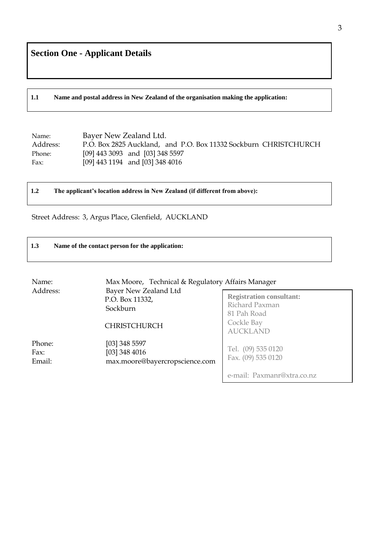**1.1 Name and postal address in New Zealand of the organisation making the application:**

| Name:    | Bayer New Zealand Ltd.                                           |
|----------|------------------------------------------------------------------|
| Address: | P.O. Box 2825 Auckland, and P.O. Box 11332 Sockburn CHRISTCHURCH |
| Phone:   | $[09]$ 443 3093 and $[03]$ 348 5597                              |
| Fax:     | [09] 443 1194 and [03] 348 4016                                  |

**1.2 The applicant's location address in New Zealand (if different from above):**

Street Address: 3, Argus Place, Glenfield, AUCKLAND

#### **1.3 Name of the contact person for the application:**

| Name:                                                                                   | Max Moore, Technical & Regulatory Affairs Manager                  |                                          |
|-----------------------------------------------------------------------------------------|--------------------------------------------------------------------|------------------------------------------|
| Address:<br>Bayer New Zealand Ltd<br>P.O. Box 11332,<br>Sockburn<br><b>CHRISTCHURCH</b> | <b>Registration consultant:</b><br>Richard Paxman<br>81 Pah Road   |                                          |
|                                                                                         |                                                                    | Cockle Bay<br><b>AUCKLAND</b>            |
| Phone:<br>Fax:<br>Email:                                                                | [03] 348 5597<br>$[03]$ 348 4016<br>max.moore@bayercropscience.com | Tel. (09) 535 0120<br>Fax. (09) 535 0120 |
|                                                                                         |                                                                    | e-mail: Paxmanr@xtra.co.nz               |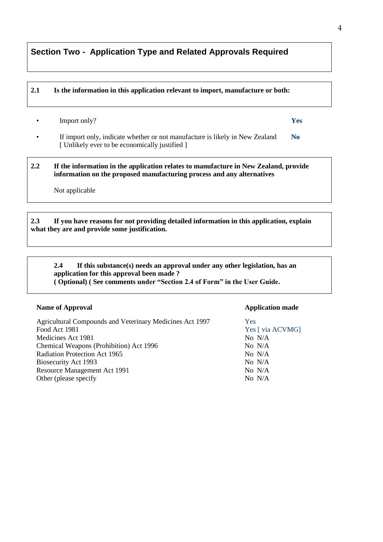### **Section Two - Application Type and Related Approvals Required**

#### **2.1 Is the information in this application relevant to import, manufacture or both:**

• Import only? **Yes**

• If import only, indicate whether or not manufacture is likely in New Zealand **No** [ Unlikely ever to be economically justified ]

**2.2 If the information in the application relates to manufacture in New Zealand, provide information on the proposed manufacturing process and any alternatives**

Not applicable

#### **2.3 If you have reasons for not providing detailed information in this application, explain what they are and provide some justification.**

#### **2.4 If this substance(s) needs an approval under any other legislation, has an application for this approval been made ? ( Optional) ( See comments under "Section 2.4 of Form" in the User Guide.**

#### **Name of Approval Application made**

Agricultural Compounds and Veterinary Medicines Act 1997 Yes Food Act 1981 Yes [ via ACVMG] Medicines Act 1981 No N/A Chemical Weapons (Prohibition) Act 1996 No N/A Radiation Protection Act 1965 No N/A Biosecurity Act 1993 No N/A Resource Management Act 1991 No N/A Other (please specify No N/A

4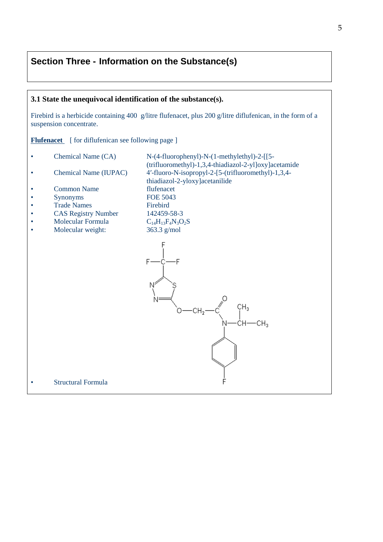### **Section Three - Information on the Substance(s)**

# **3.1 State the unequivocal identification of the substance(s).** Firebird is a herbicide containing 400 g/litre flufenacet, plus 200 g/litre diflufenican, in the form of a suspension concentrate. **Flufenacet** [ for diflufenican see following page ] • Chemical Name (CA)  $N-(4-fluorophenyl)-N-(1-methylethyl)-2-[[5-d]$ (trifluoromethyl)-1,3,4-thiadiazol-2-yl]oxy]acetamide • Chemical Name (IUPAC) 4′-fluoro-N-isopropyl-2-[5-(trifluoromethyl)-1,3,4thiadiazol-2-yloxy]acetanilide • Common Name flufenacet<br>• Synonyms FOE 5043 • Synonyms FOE 504<br>• Trade Names Firebird • Trade Names • CAS Registry Number 142459-58-3 • Molecular Formula  $C_{14}H_{13}F_4N_3O_2S$ <br>• Molecular weight: 363.3 g/mol Molecular weight:  $F$ CH<sub>2</sub>  $-CH<sub>2</sub>$ CН3 Structural Formula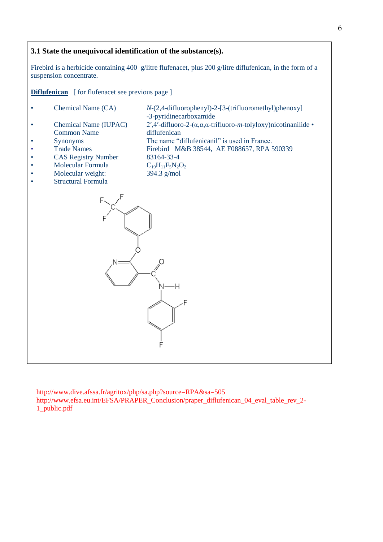#### **3.1 State the unequivocal identification of the substance(s).**

Firebird is a herbicide containing 400 g/litre flufenacet, plus 200 g/litre diflufenican, in the form of a suspension concentrate.

**Diflufenican** [ for flufenacet see previous page ]

- **Chemical Name (CA)** *N*-(2,4-difluorophenyl)-2-[3-(trifluoromethyl)phenoxy] -3-pyridinecarboxamide
- Chemical Name (IUPAC) 2′,4′-difluoro-2-(α,α,α-trifluoro-*m*-tolyloxy)nicotinanilide Common Name diflufenican
- 
- Synonyms The name "diflufenicanil" is used in France.<br>Trade Names Firebird M&B 38544, AE F088657, RPA 5 • Trade Names Firebird M&B 38544, AE F088657, RPA 590339
- CAS Registry Number 83164-33-4<br>
Molecular Formula  $C_{19}H_{11}F_5N_2O_2$
- 
- Molecular Formula  $C_{19}H_{11}F_5N_2C$ <br>Molecular weight: 394.3 g/mol Molecular weight:
- Structural Formula



http://www.dive.afssa.fr/agritox/php/sa.php?source=RPA&sa=505 http://www.efsa.eu.int/EFSA/PRAPER\_Conclusion/praper\_diflufenican\_04\_eval\_table\_rev\_2- 1\_public.pdf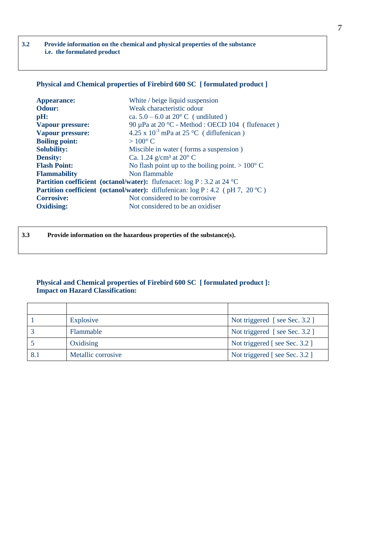**3.2 Provide information on the chemical and physical properties of the substance i.e. the formulated product**

#### **Physical and Chemical properties of Firebird 600 SC [ formulated product ]**

| <b>Appearance:</b>      | White / beige liquid suspension                                                         |  |
|-------------------------|-----------------------------------------------------------------------------------------|--|
| Odour:                  | Weak characteristic odour                                                               |  |
| $\mathbf{p}$ H:         | ca. $5.0 - 6.0$ at $20^{\circ}$ C (undiluted)                                           |  |
| <b>Vapour pressure:</b> | 90 µPa at 20 °C - Method : OECD 104 (flufenacet)                                        |  |
| <b>Vapour pressure:</b> | $4.25 \times 10^{-3}$ mPa at 25 °C (diflufenican)                                       |  |
| <b>Boiling point:</b>   | $>100^{\circ}$ C                                                                        |  |
| <b>Solubility:</b>      | Miscible in water (forms a suspension)                                                  |  |
| <b>Density:</b>         | Ca. 1.24 g/cm <sup>3</sup> at 20 $\degree$ C                                            |  |
| <b>Flash Point:</b>     | No flash point up to the boiling point. $> 100^{\circ}$ C                               |  |
| <b>Flammability</b>     | Non flammable                                                                           |  |
|                         | <b>Partition coefficient</b> (octanol/water): flufenacet: $log P : 3.2$ at 24 °C        |  |
|                         | <b>Partition coefficient</b> (octanol/water): diflufenican: $log P : 4.2$ (pH 7, 20 °C) |  |
| <b>Corrosive:</b>       | Not considered to be corrosive.                                                         |  |
| <b>Oxidising:</b>       | Not considered to be an oxidiser                                                        |  |
|                         |                                                                                         |  |

**3.3 Provide information on the hazardous properties of the substance(s).**

#### **Physical and Chemical properties of Firebird 600 SC [ formulated product ]: Impact on Hazard Classification:**

| Explosive          | Not triggered [see Sec. 3.2] |
|--------------------|------------------------------|
| Flammable          | Not triggered [see Sec. 3.2] |
| Oxidising          | Not triggered [see Sec. 3.2] |
| Metallic corrosive | Not triggered [see Sec. 3.2] |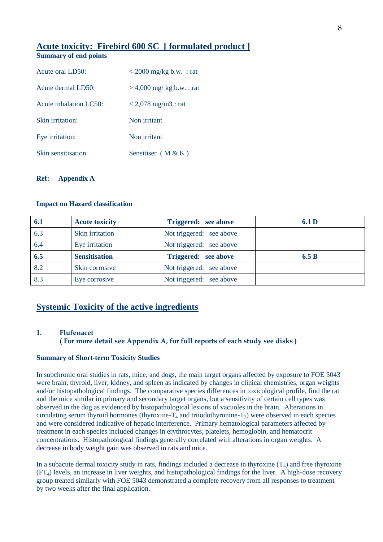### **Acute toxicity: Firebird 600 SC [ formulated product ]**

### **Summary of end points**

| Acute oral LD50:       | $< 2000$ mg/kg b.w. : rat   |
|------------------------|-----------------------------|
| Acute dermal LD50:     | $> 4,000$ mg/ kg b.w. : rat |
| Acute inhalation LC50: | $<$ 2,078 mg/m3 : rat       |
| Skin irritation:       | Non irritant                |
| Eye irritation:        | Non irritant                |
| Skin sensitisation     | Sensitiser $(M & K)$        |

#### **Ref: Appendix A**

#### **Impact on Hazard classification**

| 6.1 | <b>Acute toxicity</b> | Triggered: see above     | 6.1 D |
|-----|-----------------------|--------------------------|-------|
| 6.3 | Skin irritation       | Not triggered: see above |       |
| 6.4 | Eye irritation        | Not triggered: see above |       |
| 6.5 | <b>Sensitisation</b>  | Triggered: see above     | 6.5 B |
| 8.2 | Skin corrosive        | Not triggered: see above |       |
| 8.3 |                       | Not triggered: see above |       |

### **Systemic Toxicity of the active ingredients**

#### **1. Flufenacet**

#### **( For more detail see Appendix A, for full reports of each study see disks )**

#### **Summary of Short-term Toxicity Studies**

In subchronic oral studies in rats, mice, and dogs, the main target organs affected by exposure to FOE 5043 were brain, thyroid, liver, kidney, and spleen as indicated by changes in clinical chemistries, organ weights and/or histopathological findings. The comparative species differences in toxicological profile, find the rat and the mice similar in primary and secondary target organs, but a sensitivity of certain cell types was observed in the dog as evidenced by histopathological lesions of vacuoles in the brain. Alterations in circulating serum thyroid hormones (thyroxine- $T_4$  and triiodothyronine- $T_3$ ) were observed in each species and were considered indicative of hepatic interference. Primary hematological parameters affected by treatment in each species included changes in erythrocytes, platelets, hemoglobin, and hematocrit concentrations. Histopathological findings generally correlated with alterations in organ weights. A decrease in body weight gain was observed in rats and mice.

In a subacute dermal toxicity study in rats, findings included a decrease in thyroxine  $(T_4)$  and free thyroxine (FT4) levels, an increase in liver weights, and histopathological findings for the liver. A high-dose recovery group treated similarly with FOE 5043 demonstrated a complete recovery from all responses to treatment by two weeks after the final application.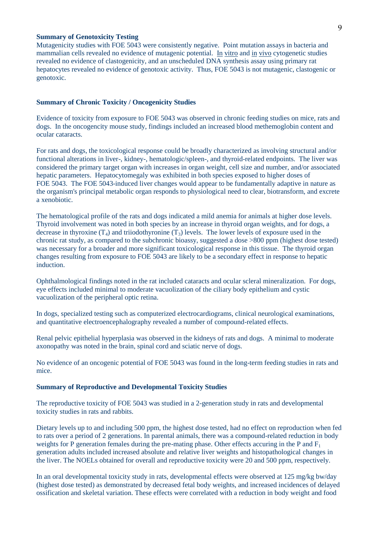#### **Summary of Genotoxicity Testing**

Mutagenicity studies with FOE 5043 were consistently negative. Point mutation assays in bacteria and mammalian cells revealed no evidence of mutagenic potential. In vitro and in vivo cytogenetic studies revealed no evidence of clastogenicity, and an unscheduled DNA synthesis assay using primary rat hepatocytes revealed no evidence of genotoxic activity. Thus, FOE 5043 is not mutagenic, clastogenic or genotoxic.

#### **Summary of Chronic Toxicity / Oncogenicity Studies**

Evidence of toxicity from exposure to FOE 5043 was observed in chronic feeding studies on mice, rats and dogs. In the oncogencity mouse study, findings included an increased blood methemoglobin content and ocular cataracts.

For rats and dogs, the toxicological response could be broadly characterized as involving structural and/or functional alterations in liver-, kidney-, hematologic/spleen-, and thyroid-related endpoints. The liver was considered the primary target organ with increases in organ weight, cell size and number, and/or associated hepatic parameters. Hepatocytomegaly was exhibited in both species exposed to higher doses of FOE 5043. The FOE 5043-induced liver changes would appear to be fundamentally adaptive in nature as the organism's principal metabolic organ responds to physiological need to clear, biotransform, and excrete a xenobiotic.

The hematological profile of the rats and dogs indicated a mild anemia for animals at higher dose levels. Thyroid involvement was noted in both species by an increase in thyroid organ weights, and for dogs, a decrease in thyroxine  $(T_4)$  and triiodothyronine  $(T_3)$  levels. The lower levels of exposure used in the chronic rat study, as compared to the subchronic bioassy, suggested a dose >800 ppm (highest dose tested) was necessary for a broader and more significant toxicological response in this tissue. The thyroid organ changes resulting from exposure to FOE 5043 are likely to be a secondary effect in response to hepatic induction.

Ophthalmological findings noted in the rat included cataracts and ocular scleral mineralization. For dogs, eye effects included minimal to moderate vacuolization of the ciliary body epithelium and cystic vacuolization of the peripheral optic retina.

In dogs, specialized testing such as computerized electrocardiograms, clinical neurological examinations, and quantitative electroencephalography revealed a number of compound-related effects.

Renal pelvic epithelial hyperplasia was observed in the kidneys of rats and dogs. A minimal to moderate axonopathy was noted in the brain, spinal cord and sciatic nerve of dogs.

No evidence of an oncogenic potential of FOE 5043 was found in the long-term feeding studies in rats and mice.

#### **Summary of Reproductive and Developmental Toxicity Studies**

The reproductive toxicity of FOE 5043 was studied in a 2-generation study in rats and developmental toxicity studies in rats and rabbits.

Dietary levels up to and including 500 ppm, the highest dose tested, had no effect on reproduction when fed to rats over a period of 2 generations. In parental animals, there was a compound-related reduction in body weights for P generation females during the pre-mating phase. Other effects accuring in the P and  $F_1$ generation adults included increased absolute and relative liver weights and histopathological changes in the liver. The NOELs obtained for overall and reproductive toxicity were 20 and 500 ppm, respectively.

In an oral developmental toxicity study in rats, developmental effects were observed at 125 mg/kg bw/day (highest dose tested) as demonstrated by decreased fetal body weights, and increased incidences of delayed ossification and skeletal variation. These effects were correlated with a reduction in body weight and food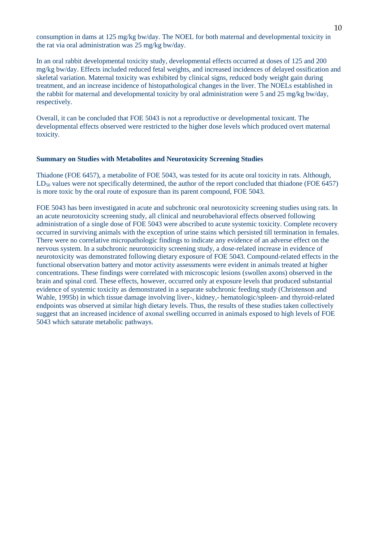consumption in dams at 125 mg/kg bw/day. The NOEL for both maternal and developmental toxicity in the rat via oral administration was 25 mg/kg bw/day.

In an oral rabbit developmental toxicity study, developmental effects occurred at doses of 125 and 200 mg/kg bw/day. Effects included reduced fetal weights, and increased incidences of delayed ossification and skeletal variation. Maternal toxicity was exhibited by clinical signs, reduced body weight gain during treatment, and an increase incidence of histopathological changes in the liver. The NOELs established in the rabbit for maternal and developmental toxicity by oral administration were 5 and 25 mg/kg bw/day, respectively.

Overall, it can be concluded that FOE 5043 is not a reproductive or developmental toxicant. The developmental effects observed were restricted to the higher dose levels which produced overt maternal toxicity.

#### **Summary on Studies with Metabolites and Neurotoxicity Screening Studies**

Thiadone (FOE 6457), a metabolite of FOE 5043, was tested for its acute oral toxicity in rats. Although, LD<sub>50</sub> values were not specifically determined, the author of the report concluded that thiadone (FOE 6457) is more toxic by the oral route of exposure than its parent compound, FOE 5043.

FOE 5043 has been investigated in acute and subchronic oral neurotoxicity screening studies using rats. In an acute neurotoxicity screening study, all clinical and neurobehavioral effects observed following administration of a single dose of FOE 5043 were abscribed to acute systemic toxicity. Complete recovery occurred in surviving animals with the exception of urine stains which persisted till termination in females. There were no correlative micropathologic findings to indicate any evidence of an adverse effect on the nervous system. In a subchronic neurotoxicity screening study, a dose-related increase in evidence of neurotoxicity was demonstrated following dietary exposure of FOE 5043. Compound-related effects in the functional observation battery and motor activity assessments were evident in animals treated at higher concentrations. These findings were correlated with microscopic lesions (swollen axons) observed in the brain and spinal cord. These effects, however, occurred only at exposure levels that produced substantial evidence of systemic toxicity as demonstrated in a separate subchronic feeding study (Christenson and Wahle, 1995b) in which tissue damage involving liver-, kidney,- hematologic/spleen- and thyroid-related endpoints was observed at similar high dietary levels. Thus, the results of these studies taken collectively suggest that an increased incidence of axonal swelling occurred in animals exposed to high levels of FOE 5043 which saturate metabolic pathways.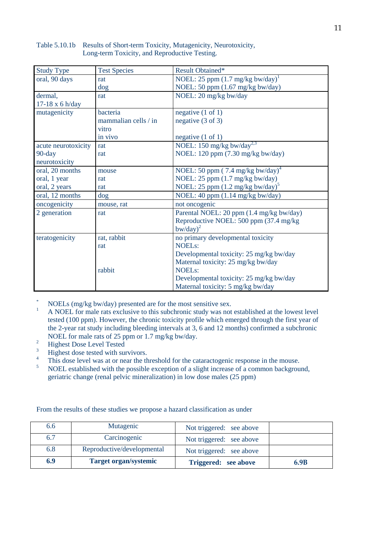| Study Type          | <b>Test Species</b>  | Result Obtained*                             |
|---------------------|----------------------|----------------------------------------------|
| oral, 90 days       | rat                  | NOEL: 25 ppm $(1.7 \text{ mg/kg bw/day})^1$  |
|                     | $\log$               | NOEL: 50 ppm (1.67 mg/kg bw/day)             |
| dermal,             | rat                  | NOEL: 20 mg/kg bw/day                        |
| 17-18 x 6 h/day     |                      |                                              |
| mutagenicity        | bacteria             | negative $(1 \text{ of } 1)$                 |
|                     | mammalian cells / in | negative $(3 \text{ of } 3)$                 |
|                     | vitro                |                                              |
|                     | in vivo              | negative $(1 \text{ of } 1)$                 |
| acute neurotoxicity | rat                  | NOEL: 150 mg/kg bw/day <sup>2,3</sup>        |
| $90$ -day           | rat                  | NOEL: 120 ppm (7.30 mg/kg bw/day)            |
| neurotoxicity       |                      |                                              |
| oral, 20 months     | mouse                | NOEL: 50 ppm (7.4 mg/kg bw/day) <sup>4</sup> |
| oral, 1 year        | rat                  | NOEL: 25 ppm (1.7 mg/kg bw/day)              |
| oral, 2 years       | rat                  | NOEL: 25 ppm $(1.2 \text{ mg/kg bw/day})^5$  |
| oral, 12 months     | $\log$               | NOEL: 40 ppm (1.14 mg/kg bw/day)             |
| oncogenicity        | mouse, rat           | not oncogenic                                |
| 2 generation        | rat                  | Parental NOEL: 20 ppm (1.4 mg/kg bw/day)     |
|                     |                      | Reproductive NOEL: 500 ppm (37.4 mg/kg)      |
|                     |                      | $b$ w/day $)^2$                              |
| teratogenicity      | rat, rabbit          | no primary developmental toxicity            |
|                     | rat                  | <b>NOELs:</b>                                |
|                     |                      | Developmental toxicity: 25 mg/kg bw/day      |
|                     |                      | Maternal toxicity: 25 mg/kg bw/day           |
|                     | rabbit               | <b>NOELs:</b>                                |
|                     |                      | Developmental toxicity: 25 mg/kg bw/day      |
|                     |                      | Maternal toxicity: 5 mg/kg bw/day            |

#### Table 5.10.1b Results of Short-term Toxicity, Mutagenicity, Neurotoxicity, Long-term Toxicity, and Reproductive Testing.

- \* NOELs (mg/kg bw/day) presented are for the most sensitive sex.
- <sup>1</sup> A NOEL for male rats exclusive to this subchronic study was not established at the lowest level tested (100 ppm). However, the chronic toxicity profile which emerged through the first year of the 2-year rat study including bleeding intervals at 3, 6 and 12 months) confirmed a subchronic NOEL for male rats of 25 ppm or 1.7 mg/kg bw/day.
- $\frac{2}{3}$  Highest Dose Level Tested
- $\frac{3}{4}$  Highest dose tested with survivors.
- <sup>4</sup> This dose level was at or near the threshold for the cataractogenic response in the mouse.<br><sup>5</sup> NOEI established with the possible exception of a slight increase of a common background
- <sup>5</sup> NOEL established with the possible exception of a slight increase of a common background, geriatric change (renal pelvic mineralization) in low dose males (25 ppm)

From the results of these studies we propose a hazard classification as under

| 6.6 | Mutagenic                    | Not triggered: see above |      |
|-----|------------------------------|--------------------------|------|
| 6.7 | Carcinogenic                 | Not triggered: see above |      |
| 6.8 | Reproductive/developmental   | Not triggered: see above |      |
| 6.9 | <b>Target organ/systemic</b> | Triggered: see above     | 6.9B |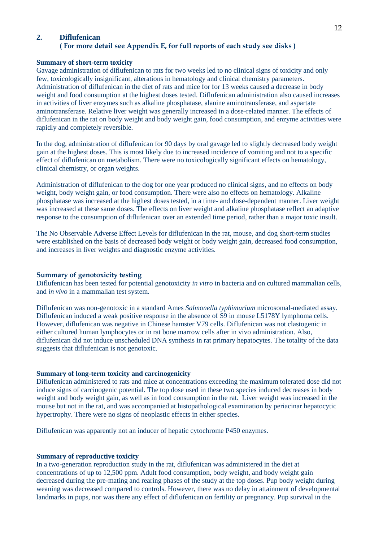#### **2. Diflufenican ( For more detail see Appendix E, for full reports of each study see disks )**

#### **Summary of short-term toxicity**

Gavage administration of diflufenican to rats for two weeks led to no clinical signs of toxicity and only few, toxicologically insignificant, alterations in hematology and clinical chemistry parameters. Administration of diflufenican in the diet of rats and mice for for 13 weeks caused a decrease in body weight and food consumption at the highest doses tested. Diflufenican administration also caused increases in activities of liver enzymes such as alkaline phosphatase, alanine aminotransferase, and aspartate aminotransferase. Relative liver weight was generally increased in a dose-related manner. The effects of diflufenican in the rat on body weight and body weight gain, food consumption, and enzyme activities were rapidly and completely reversible.

In the dog, administration of diflufenican for 90 days by oral gavage led to slightly decreased body weight gain at the highest doses. This is most likely due to increased incidence of vomiting and not to a specific effect of diflufenican on metabolism. There were no toxicologically significant effects on hematology, clinical chemistry, or organ weights.

Administration of diflufenican to the dog for one year produced no clinical signs, and no effects on body weight, body weight gain, or food consumption. There were also no effects on hematology. Alkaline phosphatase was increased at the highest doses tested, in a time- and dose-dependent manner. Liver weight was increased at these same doses. The effects on liver weight and alkaline phosphatase reflect an adaptive response to the consumption of diflufenican over an extended time period, rather than a major toxic insult.

The No Observable Adverse Effect Levels for diflufenican in the rat, mouse, and dog short-term studies were established on the basis of decreased body weight or body weight gain, decreased food consumption, and increases in liver weights and diagnostic enzyme activities.

#### **Summary of genotoxicity testing**

Diflufenican has been tested for potential genotoxicity *in vitro* in bacteria and on cultured mammalian cells, and *in vivo* in a mammalian test system.

Diflufenican was non-genotoxic in a standard Ames *Salmonella typhimurium* microsomal-mediated assay. Diflufenican induced a weak positive response in the absence of S9 in mouse L5178Y lymphoma cells. However, diflufenican was negative in Chinese hamster V79 cells. Diflufenican was not clastogenic in either cultured human lymphocytes or in rat bone marrow cells after in vivo administration. Also, diflufenican did not induce unscheduled DNA synthesis in rat primary hepatocytes. The totality of the data suggests that diflufenican is not genotoxic.

#### **Summary of long-term toxicity and carcinogenicity**

Diflufenican administered to rats and mice at concentrations exceeding the maximum tolerated dose did not induce signs of carcinogenic potential. The top dose used in these two species induced decreases in body weight and body weight gain, as well as in food consumption in the rat. Liver weight was increased in the mouse but not in the rat, and was accompanied at histopathological examination by periacinar hepatocytic hypertrophy. There were no signs of neoplastic effects in either species.

Diflufenican was apparently not an inducer of hepatic cytochrome P450 enzymes.

#### **Summary of reproductive toxicity**

In a two-generation reproduction study in the rat, diflufenican was administered in the diet at concentrations of up to 12,500 ppm. Adult food consumption, body weight, and body weight gain decreased during the pre-mating and rearing phases of the study at the top doses. Pup body weight during weaning was decreased compared to controls. However, there was no delay in attainment of developmental landmarks in pups, nor was there any effect of diflufenican on fertility or pregnancy. Pup survival in the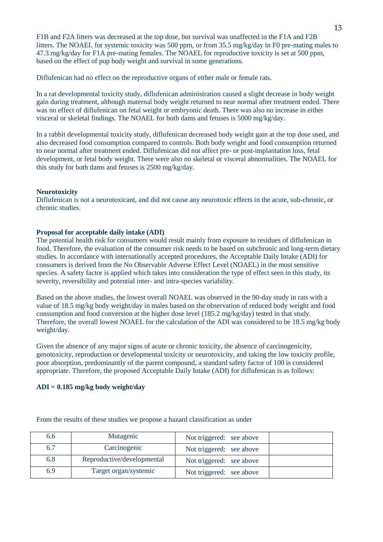F1B and F2A litters was decreased at the top dose, but survival was unaffected in the F1A and F2B litters. The NOAEL for systemic toxicity was 500 ppm, or from 35.5 mg/kg/day in F0 pre-mating males to 47.3 mg/kg/day for F1A pre-mating females. The NOAEL for reproductive toxicity is set at 500 ppm, based on the effect of pup body weight and survival in some generations.

Diflufenican had no effect on the reproductive organs of either male or female rats.

In a rat developmental toxicity study, diflufenican administration caused a slight decrease in body weight gain during treatment, although maternal body weight returned to near normal after treatment ended. There was no effect of diflufenican on fetal weight or embryonic death. There was also no increase in either visceral or skeletal findings. The NOAEL for both dams and fetuses is 5000 mg/kg/day.

In a rabbit developmental toxicity study, diflufenican decreased body weight gain at the top dose used, and also decreased food consumption compared to controls. Both body weight and food consumption returned to near normal after treatment ended. Diflufenican did not affect pre- or post-implantation loss, fetal development, or fetal body weight. There were also no skeletal or visceral abnormalities. The NOAEL for this study for both dams and fetuses is 2500 mg/kg/day.

#### **Neurotoxicity**

Diflufenican is not a neurotoxicant, and did not cause any neurotoxic effects in the acute, sub-chronic, or chronic studies.

#### **Proposal for acceptable daily intake (ADI)**

The potential health risk for consumers would result mainly from exposure to residues of diflufenican in food. Therefore, the evaluation of the consumer risk needs to be based on subchronic and long-term dietary studies. In accordance with internationally accepted procedures, the Acceptable Daily Intake (ADI) for consumers is derived from the No Observable Adverse Effect Level (NOAEL) in the most sensitive species. A safety factor is applied which takes into consideration the type of effect seen in this study, its severity, reversibility and potential inter- and intra-species variability.

Based on the above studies, the lowest overall NOAEL was observed in the 90-day study in rats with a value of 18.5 mg/kg body weight/day in males based on the observation of reduced body weight and food consumption and food conversion at the higher dose level (185.2 mg/kg/day) tested in that study. Therefore, the overall lowest NOAEL for the calculation of the ADI was considered to be 18.5 mg/kg body weight/day.

Given the absence of any major signs of acute or chronic toxicity, the absence of carcinogenicity, genotoxicity, reproduction or developmental toxicity or neurotoxicity, and taking the low toxicity profile, poor absorption, predominantly of the parent compound, a standard safety factor of 100 is considered appropriate. Therefore, the proposed Acceptable Daily Intake (ADI) for diflufenican is as follows:

#### **ADI = 0.185 mg/kg body weight/day**

| 6.6 | Mutagenic                  | Not triggered: see above |
|-----|----------------------------|--------------------------|
| 6.7 | Carcinogenic               | Not triggered: see above |
| 6.8 | Reproductive/developmental | Not triggered: see above |
| 6.9 | Target organ/systemic      | Not triggered: see above |

From the results of these studies we propose a hazard classification as under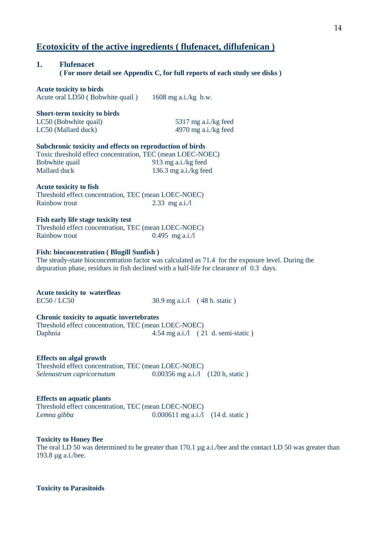### **Ecotoxicity of the active ingredients ( flufenacet, diflufenican )**

### **1. Flufenacet ( For more detail see Appendix C, for full reports of each study see disks )**

**Acute toxicity to birds** Acute oral LD50 ( Bobwhite quail ) 1608 mg a.i./kg b.w.

### **Short-term toxicity to birds**

LC50 (Bobwhite quail) 5317 mg a.i./kg feed LC50 (Mallard duck) 4970 mg a.i./kg feed

#### **Subchronic toxicity and effects on reproduction of birds**

| Toxic threshold effect concentration, TEC (mean LOEC-NOEC) |                       |
|------------------------------------------------------------|-----------------------|
| Bobwhite quail                                             | 913 mg a.i./kg feed   |
| Mallard duck                                               | 136.3 mg a.i./kg feed |

#### **Acute toxicity to fish**

Threshold effect concentration, TEC (mean LOEC-NOEC) Rainbow trout 2.33 mg a.i./l

#### **Fish early life stage toxicity test**

Threshold effect concentration, TEC (mean LOEC-NOEC) Rainbow trout 0.495 mg a.i./l

#### **Fish: bioconcentration ( Blugill Sunfish )**

The steady-state bioconcentration factor was calculated as 71.4 for the exposure level. During the depuration phase, residues in fish declined with a half-life for clearance of 0.3 days.

#### **Acute toxicity to waterfleas**

 $EC50 / LC50$  30.9 mg a.i./l (48 h. static)

#### **Chronic toxicity to aquatic invertebrates**

Threshold effect concentration, TEC (mean LOEC-NOEC) Daphnia 4.54 mg a.i./l (21 d. semi-static )

#### **Effects on algal growth**

Threshold effect concentration, TEC (mean LOEC-NOEC) *Selenastrum capricornutum* 0.00356 mg a.i./l (120 h, static )

#### **Effects on aquatic plants**

Threshold effect concentration, TEC (mean LOEC-NOEC) *Lemna gibba* 0.000611 mg a.i./l (14 d. static )

#### **Toxicity to Honey Bee**

The oral LD 50 was determined to be greater than 170.1 µg a.i./bee and the contact LD 50 was greater than 193.8 µg a.i./bee.

#### **Toxicity to Parasitoids**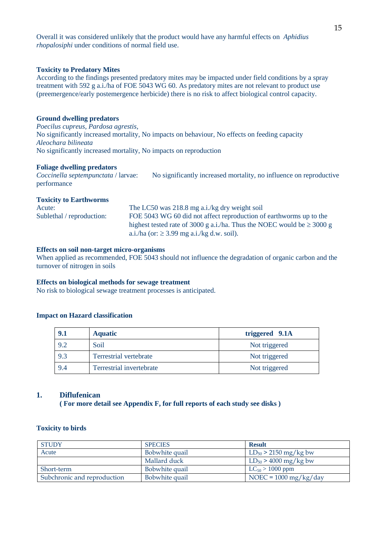Overall it was considered unlikely that the product would have any harmful effects on *Aphidius rhopalosiphi* under conditions of normal field use.

#### **Toxicity to Predatory Mites**

According to the findings presented predatory mites may be impacted under field conditions by a spray treatment with 592 g a.i./ha of FOE 5043 WG 60. As predatory mites are not relevant to product use (preemergence/early postemergence herbicide) there is no risk to affect biological control capacity.

#### **Ground dwelling predators**

*Poecilus cupreus, Pardosa agrestis,*  No significantly increased mortality, No impacts on behaviour, No effects on feeding capacity *Aleochara bilineata* No significantly increased mortality, No impacts on reproduction

#### **Foliage dwelling predators**

*Coccinella septempunctata* / larvae: No significantly increased mortality, no influence on reproductive performance

#### **Toxicity to Earthworms**

| Acute:                    | The LC50 was 218.8 mg a.i./kg dry weight soil                               |
|---------------------------|-----------------------------------------------------------------------------|
| Sublethal / reproduction: | FOE 5043 WG 60 did not affect reproduction of earthworms up to the          |
|                           | highest tested rate of 3000 g a.i./ha. Thus the NOEC would be $\geq$ 3000 g |
|                           | a.i./ha (or: $\geq$ 3.99 mg a.i./kg d.w. soil).                             |

#### **Effects on soil non-target micro-organisms**

When applied as recommended, FOE 5043 should not influence the degradation of organic carbon and the turnover of nitrogen in soils

#### **Effects on biological methods for sewage treatment**

No risk to biological sewage treatment processes is anticipated.

#### **Impact on Hazard classification**

| 9.1 | <b>Aquatic</b>           | triggered 9.1A |
|-----|--------------------------|----------------|
| 9.2 | Soil                     | Not triggered  |
| 9.3 | Terrestrial vertebrate   | Not triggered  |
| 9.4 | Terrestrial invertebrate | Not triggered  |

#### **1. Diflufenican**

**( For more detail see Appendix F, for full reports of each study see disks )**

#### **Toxicity to birds**

| <b>STUDY</b>                | <b>SPECIES</b> | <b>Result</b>                   |
|-----------------------------|----------------|---------------------------------|
| Acute                       | Bobwhite quail | $LD_{50}$ > 2150 mg/kg bw       |
|                             | Mallard duck   | $LD_{50}$ > 4000 mg/kg bw       |
| Short-term                  | Bobwhite quail | $LC_{50} > 1000$ ppm            |
| Subchronic and reproduction | Bobwhite quail | NOEC = $1000 \text{ mg/kg/day}$ |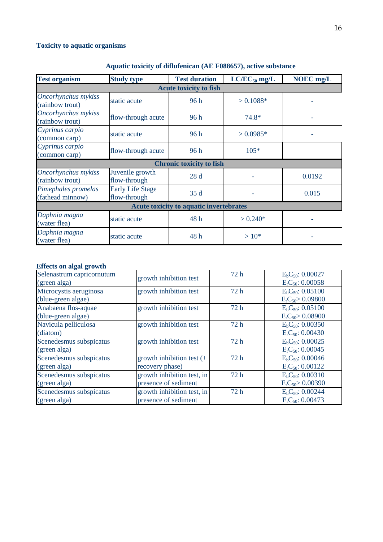### **Toxicity to aquatic organisms**

| <b>Test organism</b>                    | <b>Study type</b>                       | <b>Test duration</b>            | $LC/EC_{50}$ mg/L | <b>NOEC</b> mg/L |
|-----------------------------------------|-----------------------------------------|---------------------------------|-------------------|------------------|
|                                         |                                         | <b>Acute toxicity to fish</b>   |                   |                  |
| Oncorhynchus mykiss<br>(rainbow trout)  | static acute                            | 96 h                            | $> 0.1088*$       |                  |
| Oncorhynchus mykiss<br>(rainbow trout)  | flow-through acute                      | 96 h                            | 74.8*             |                  |
| Cyprinus carpio<br>(common carp)        | static acute                            | 96 h                            | $> 0.0985*$       |                  |
| Cyprinus carpio<br>(common carp)        | flow-through acute                      | 96 h                            | $105*$            |                  |
|                                         |                                         | <b>Chronic toxicity to fish</b> |                   |                  |
| Oncorhynchus mykiss<br>(rainbow trout)  | Juvenile growth<br>flow-through         | 28d                             |                   | 0.0192           |
| Pimephales promelas<br>(fathead minnow) | <b>Early Life Stage</b><br>flow-through | 35d                             |                   | 0.015            |
| Acute toxicity to aquatic invertebrates |                                         |                                 |                   |                  |
| Daphnia magna<br>(water flea)           | static acute                            | 48h                             | $> 0.240*$        |                  |
| Daphnia magna<br>(water flea)           | static acute                            | 48h                             | $>10*$            |                  |

### **Aquatic toxicity of diflufenican (AE F088657), active substance**

### **Effects on algal growth**

| Selenastrum capricornutum | growth inhibition test       | 72h  | E <sub>b</sub> C <sub>50</sub> : 0.00027 |
|---------------------------|------------------------------|------|------------------------------------------|
| (green alga)              |                              |      | E <sub>r</sub> C <sub>50</sub> : 0.00058 |
| Microcystis aeruginosa    | growth inhibition test       | 72h  | $E_b C_{50}$ : 0.05100                   |
| (blue-green algae)        |                              |      | E <sub>r</sub> C <sub>50</sub> > 0.09800 |
| Anabaena flos-aquae       | growth inhibition test       | 72h  | E <sub>b</sub> C <sub>50</sub> : 0.05100 |
| (blue-green algae)        |                              |      | E <sub>r</sub> C <sub>50</sub> > 0.08900 |
| Navicula pelliculosa      | growth inhibition test       | 72h  | $E_b C_{50}$ : 0.00350                   |
| (diatom)                  |                              |      | E <sub>r</sub> C <sub>50</sub> : 0.00430 |
| Scenedesmus subspicatus   | growth inhibition test       | 72h  | E <sub>b</sub> C <sub>50</sub> : 0.00025 |
| (green alga)              |                              |      | E <sub>r</sub> C <sub>50</sub> : 0.00045 |
| Scenedesmus subspicatus   | growth inhibition test $(+)$ | 72h  | E <sub>b</sub> C <sub>50</sub> : 0.00046 |
| (green alga)              | recovery phase)              |      | E <sub>r</sub> C <sub>50</sub> : 0.00122 |
| Scenedesmus subspicatus   | growth inhibition test, in   | 72h  | $E_bC_{50}$ : 0.00310                    |
| (green alga)              | presence of sediment         |      | E <sub>r</sub> C <sub>50</sub> > 0.00390 |
| Scenedesmus subspicatus   | growth inhibition test, in   | 72 h | $E_bC_{50}$ : 0.00244                    |
| (green alga)              | presence of sediment         |      | E <sub>r</sub> C <sub>50</sub> : 0.00473 |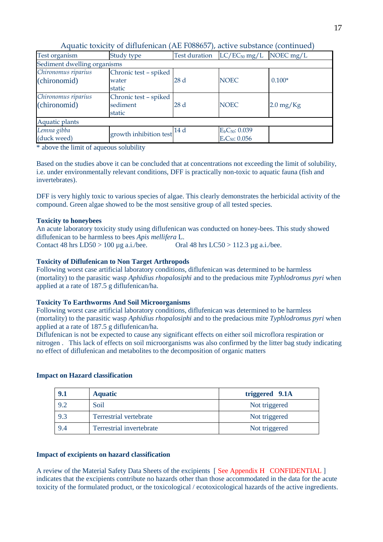| Test organism               | Study type             | <b>Test duration</b> | $LC/EC_{50}$ mg/L                      | NOEC $mg/L$            |
|-----------------------------|------------------------|----------------------|----------------------------------------|------------------------|
| Sediment dwelling organisms |                        |                      |                                        |                        |
| Chironomus riparius         | Chronic test - spiked  |                      |                                        |                        |
| (chironomid)                | water                  | 28d                  | <b>NOEC</b>                            | $0.100*$               |
|                             | static                 |                      |                                        |                        |
| Chironomus riparius         | Chronic test - spiked  |                      |                                        |                        |
| (chironomid)                | sediment               | 28d                  | <b>NOEC</b>                            | $2.0 \,\mathrm{mg/Kg}$ |
|                             | static                 |                      |                                        |                        |
| Aquatic plants              |                        |                      |                                        |                        |
| Lemna gibba                 | growth inhibition test | 14 d                 | $E_bC_{50}$ : 0.039                    |                        |
| (duck weed)                 |                        |                      | E <sub>r</sub> C <sub>50</sub> : 0.056 |                        |

Aquatic toxicity of diflufenican (AE F088657), active substance (continued)

\* above the limit of aqueous solubility

Based on the studies above it can be concluded that at concentrations not exceeding the limit of solubility, i.e. under environmentally relevant conditions, DFF is practically non-toxic to aquatic fauna (fish and invertebrates).

DFF is very highly toxic to various species of algae. This clearly demonstrates the herbicidal activity of the compound. Green algae showed to be the most sensitive group of all tested species.

#### **Toxicity to honeybees**

An acute laboratory toxicity study using diflufenican was conducted on honey-bees. This study showed diflufenican to be harmless to bees *Apis mellifera* L.

Contact 48 hrs  $LD50 > 100 \mu g$  a.i./bee. Oral 48 hrs  $LC50 > 112.3 \mu g$  a.i./bee.

#### **Toxicity of Diflufenican to Non Target Arthropods**

Following worst case artificial laboratory conditions, diflufenican was determined to be harmless (mortality) to the parasitic wasp *Aphidius rhopalosiphi* and to the predacious mite *Typhlodromus pyri* when applied at a rate of 187.5 g diflufenican/ha.

#### **Toxicity To Earthworms And Soil Microorganisms**

Following worst case artificial laboratory conditions, diflufenican was determined to be harmless (mortality) to the parasitic wasp *Aphidius rhopalosiphi* and to the predacious mite *Typhlodromus pyri* when applied at a rate of 187.5 g diflufenican/ha.

Diflufenican is not be expected to cause any significant effects on either soil microflora respiration or nitrogen . This lack of effects on soil microorganisms was also confirmed by the litter bag study indicating no effect of diflufenican and metabolites to the decomposition of organic matters

#### **Impact on Hazard classification**

| 9.1 | <b>Aquatic</b>           | triggered 9.1A |
|-----|--------------------------|----------------|
|     | Soil                     | Not triggered  |
|     | Terrestrial vertebrate   | Not triggered  |
|     | Terrestrial invertebrate | Not triggered  |

#### **Impact of excipients on hazard classification**

A review of the Material Safety Data Sheets of the excipients [ See Appendix H CONFIDENTIAL ] indicates that the excipients contribute no hazards other than those accommodated in the data for the acute toxicity of the formulated product, or the toxicological / ecotoxicological hazards of the active ingredients.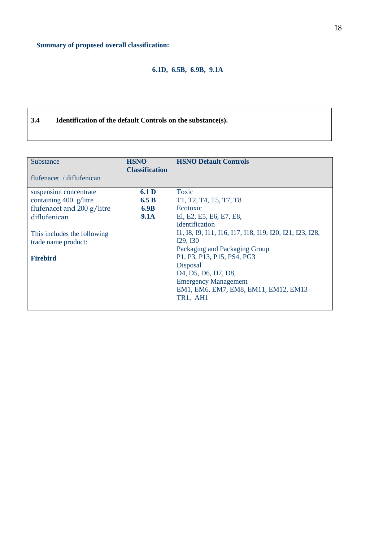### **6.1D, 6.5B, 6.9B, 9.1A**

### **3.4 Identification of the default Controls on the substance(s).**

| Substance                                                                                                                                            | <b>HSNO</b>                                      | <b>HSNO Default Controls</b>                                                                                                                                                                                                                                                          |
|------------------------------------------------------------------------------------------------------------------------------------------------------|--------------------------------------------------|---------------------------------------------------------------------------------------------------------------------------------------------------------------------------------------------------------------------------------------------------------------------------------------|
|                                                                                                                                                      | <b>Classification</b>                            |                                                                                                                                                                                                                                                                                       |
| flufenacet / diflufenican                                                                                                                            |                                                  |                                                                                                                                                                                                                                                                                       |
| suspension concentrate<br>containing 400 g/litre<br>flufenacet and 200 g/litre<br>diflufenican<br>This includes the following<br>trade name product: | 6.1 <sub>D</sub><br>6.5 B<br>6.9B<br><b>9.1A</b> | Toxic<br>T <sub>1</sub> , T <sub>2</sub> , T <sub>4</sub> , T <sub>5</sub> , T <sub>7</sub> , T <sub>8</sub><br>Ecotoxic<br>El, E2, E5, E6, E7, E8,<br><b>Identification</b><br>11, 18, 19, 111, 116, 117, 118, 119, 120, 121, 123, 128,<br>I29, I30<br>Packaging and Packaging Group |
| <b>Firebird</b>                                                                                                                                      |                                                  | P1, P3, P13, P15, PS4, PG3<br><b>Disposal</b><br>D <sub>4</sub> , D <sub>5</sub> , D <sub>6</sub> , D <sub>7</sub> , D <sub>8</sub> ,<br><b>Emergency Management</b><br>EM1, EM6, EM7, EM8, EM11, EM12, EM13<br>TR1, AH1                                                              |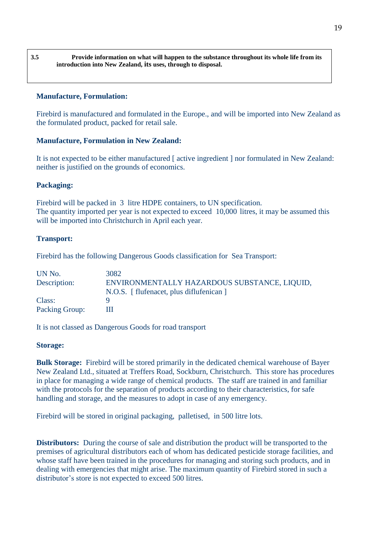**3.5 Provide information on what will happen to the substance throughout its whole life from its introduction into New Zealand, its uses, through to disposal.**

#### **Manufacture, Formulation:**

Firebird is manufactured and formulated in the Europe., and will be imported into New Zealand as the formulated product, packed for retail sale.

#### **Manufacture, Formulation in New Zealand:**

It is not expected to be either manufactured [ active ingredient ] nor formulated in New Zealand: neither is justified on the grounds of economics.

#### **Packaging:**

Firebird will be packed in 3 litre HDPE containers, to UN specification. The quantity imported per year is not expected to exceed 10,000 litres, it may be assumed this will be imported into Christchurch in April each year.

#### **Transport:**

Firebird has the following Dangerous Goods classification for Sea Transport:

| UN No.                | 3082                                         |
|-----------------------|----------------------------------------------|
| Description:          | ENVIRONMENTALLY HAZARDOUS SUBSTANCE, LIQUID, |
|                       | N.O.S. [flufenacet, plus diflufenican]       |
| Class:                |                                              |
| <b>Packing Group:</b> |                                              |

It is not classed as Dangerous Goods for road transport

#### **Storage:**

**Bulk Storage:** Firebird will be stored primarily in the dedicated chemical warehouse of Bayer New Zealand Ltd., situated at Treffers Road, Sockburn, Christchurch. This store has procedures in place for managing a wide range of chemical products. The staff are trained in and familiar with the protocols for the separation of products according to their characteristics, for safe handling and storage, and the measures to adopt in case of any emergency.

Firebird will be stored in original packaging, palletised, in 500 litre lots.

**Distributors:** During the course of sale and distribution the product will be transported to the premises of agricultural distributors each of whom has dedicated pesticide storage facilities, and whose staff have been trained in the procedures for managing and storing such products, and in dealing with emergencies that might arise. The maximum quantity of Firebird stored in such a distributor's store is not expected to exceed 500 litres.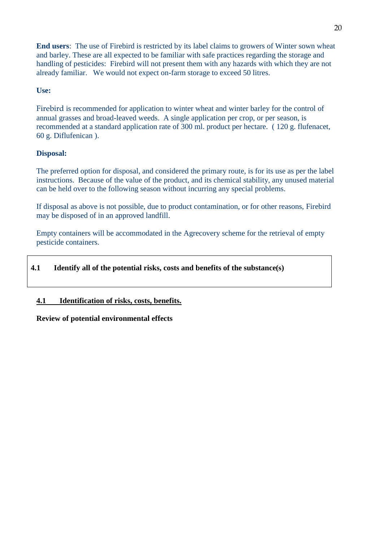**End users**: The use of Firebird is restricted by its label claims to growers of Winter sown wheat and barley. These are all expected to be familiar with safe practices regarding the storage and handling of pesticides: Firebird will not present them with any hazards with which they are not already familiar. We would not expect on-farm storage to exceed 50 litres.

#### **Use:**

Firebird is recommended for application to winter wheat and winter barley for the control of annual grasses and broad-leaved weeds. A single application per crop, or per season, is recommended at a standard application rate of 300 ml. product per hectare. ( 120 g. flufenacet, 60 g. Diflufenican ).

#### **Disposal:**

The preferred option for disposal, and considered the primary route, is for its use as per the label instructions. Because of the value of the product, and its chemical stability, any unused material can be held over to the following season without incurring any special problems.

If disposal as above is not possible, due to product contamination, or for other reasons, Firebird may be disposed of in an approved landfill.

Empty containers will be accommodated in the Agrecovery scheme for the retrieval of empty pesticide containers.

#### **4.1 Identify all of the potential risks, costs and benefits of the substance(s)**

#### **4.1 Identification of risks, costs, benefits.**

**Review of potential environmental effects**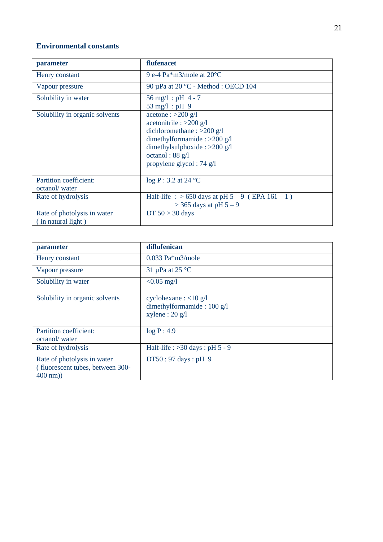#### **Environmental constants**

| parameter                                         | flufenacet                                                                                                                                                                                                     |
|---------------------------------------------------|----------------------------------------------------------------------------------------------------------------------------------------------------------------------------------------------------------------|
| Henry constant                                    | 9 e-4 Pa $*$ m3/mole at 20 $°C$                                                                                                                                                                                |
| Vapour pressure                                   | 90 µPa at 20 °C - Method : OECD 104                                                                                                                                                                            |
| Solubility in water                               | $56 \text{ mg/l}$ : pH 4 - 7<br>$53 \text{ mg}/l : pH 9$                                                                                                                                                       |
| Solubility in organic solvents                    | acetone : >200 $g/l$<br>acetonitrile : >200 $g/l$<br>dichloromethane: $>200$ g/l<br>dimethylformamide : >200 g/l<br>dimethylsulphoxide : $>200$ g/l<br>octanol: $88 \text{ g/l}$<br>propylene glycol: 74 $g/l$ |
| Partition coefficient:<br>octanol/water           | $log P: 3.2$ at 24 °C                                                                                                                                                                                          |
| Rate of hydrolysis                                | Half-life : > 650 days at pH $5 - 9$ (EPA $161 - 1$ )<br>$>$ 365 days at pH 5 – 9                                                                                                                              |
| Rate of photolysis in water<br>(in natural light) | DT $50 > 30$ days                                                                                                                                                                                              |

| parameter                                                                             | diflufenican                                                                  |
|---------------------------------------------------------------------------------------|-------------------------------------------------------------------------------|
| Henry constant                                                                        | $0.033$ Pa $*$ m3/mole                                                        |
| Vapour pressure                                                                       | 31 $\mu$ Pa at 25 °C                                                          |
| Solubility in water                                                                   | $< 0.05$ mg/l                                                                 |
| Solubility in organic solvents                                                        | cyclohexane : $<$ 10 g/l<br>dimethylformamide: $100$ g/l<br>xylene : $20$ g/l |
| Partition coefficient:<br>octanol/water                                               | log P: 4.9                                                                    |
| Rate of hydrolysis                                                                    | Half-life : $>30$ days : pH 5 - 9                                             |
| Rate of photolysis in water<br>(fluorescent tubes, between 300-<br>$400 \text{ nm}$ ) | $DT50:97 \text{ days}: pH 9$                                                  |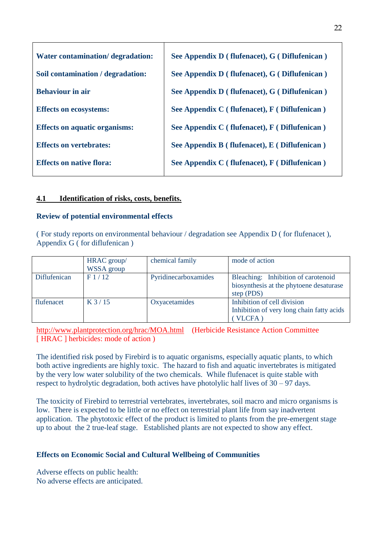| Water contamination/ degradation:    | See Appendix D (flufenacet), G (Diflufenican) |
|--------------------------------------|-----------------------------------------------|
| Soil contamination / degradation:    | See Appendix D (flufenacet), G (Diflufenican) |
| <b>Behaviour in air</b>              | See Appendix D (flufenacet), G (Diflufenican) |
| <b>Effects on ecosystems:</b>        | See Appendix C (flufenacet), F (Diflufenican) |
| <b>Effects on aquatic organisms:</b> | See Appendix C (flufenacet), F (Diflufenican) |
| <b>Effects on vertebrates:</b>       | See Appendix B (flufenacet), E (Diflufenican) |
| <b>Effects on native flora:</b>      | See Appendix C (flufenacet), F (Diflufenican) |

#### **4.1 Identification of risks, costs, benefits.**

#### **Review of potential environmental effects**

( For study reports on environmental behaviour / degradation see Appendix D ( for flufenacet ), Appendix G ( for diflufenican )

|              | HRAC group/<br><b>WSSA</b> group | chemical family      | mode of action                                                                               |
|--------------|----------------------------------|----------------------|----------------------------------------------------------------------------------------------|
| Diflufenican | F1/12                            | Pyridinecarboxamides | Bleaching: Inhibition of carotenoid<br>biosynthesis at the phytoene desaturase<br>step (PDS) |
| flufenacet   | $K$ 3 / 15                       | Oxyacetamides        | Inhibition of cell division<br>Inhibition of very long chain fatty acids<br>VLCFA)           |

<http://www.plantprotection.org/hrac/MOA.html>(Herbicide Resistance Action Committee [HRAC ] herbicides: mode of action )

The identified risk posed by Firebird is to aquatic organisms, especially aquatic plants, to which both active ingredients are highly toxic. The hazard to fish and aquatic invertebrates is mitigated by the very low water solubility of the two chemicals. While flufenacet is quite stable with respect to hydrolytic degradation, both actives have photolylic half lives of 30 – 97 days.

The toxicity of Firebird to terrestrial vertebrates, invertebrates, soil macro and micro organisms is low. There is expected to be little or no effect on terrestrial plant life from say inadvertent application. The phytotoxic effect of the product is limited to plants from the pre-emergent stage up to about the 2 true-leaf stage. Established plants are not expected to show any effect.

#### **Effects on Economic Social and Cultural Wellbeing of Communities**

Adverse effects on public health: No adverse effects are anticipated.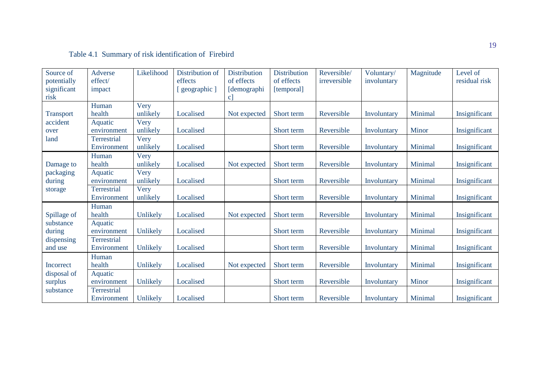### Table 4.1 Summary of risk identification of Firebird

| Source of        | Adverse     | Likelihood | Distribution of | <b>Distribution</b> | <b>Distribution</b> | Reversible/  | Voluntary/  | Magnitude | Level of      |
|------------------|-------------|------------|-----------------|---------------------|---------------------|--------------|-------------|-----------|---------------|
| potentially      | effect/     |            | effects         | of effects          | of effects          | irreversible | involuntary |           | residual risk |
| significant      | impact      |            | geographic ]    | [demographi         | [temporal]          |              |             |           |               |
| risk             |             |            |                 | c                   |                     |              |             |           |               |
|                  | Human       | Very       |                 |                     |                     |              |             |           |               |
| <b>Transport</b> | health      | unlikely   | Localised       | Not expected        | Short term          | Reversible   | Involuntary | Minimal   | Insignificant |
| accident         | Aquatic     | Very       |                 |                     |                     |              |             |           |               |
| over             | environment | unlikely   | Localised       |                     | Short term          | Reversible   | Involuntary | Minor     | Insignificant |
| land             | Terrestrial | Very       |                 |                     |                     |              |             |           |               |
|                  | Environment | unlikely   | Localised       |                     | Short term          | Reversible   | Involuntary | Minimal   | Insignificant |
|                  | Human       | Very       |                 |                     |                     |              |             |           |               |
| Damage to        | health      | unlikely   | Localised       | Not expected        | Short term          | Reversible   | Involuntary | Minimal   | Insignificant |
| packaging        | Aquatic     | Very       |                 |                     |                     |              |             |           |               |
| during           | environment | unlikely   | Localised       |                     | Short term          | Reversible   | Involuntary | Minimal   | Insignificant |
| storage          | Terrestrial | Very       |                 |                     |                     |              |             |           |               |
|                  | Environment | unlikely   | Localised       |                     | Short term          | Reversible   | Involuntary | Minimal   | Insignificant |
|                  | Human       |            |                 |                     |                     |              |             |           |               |
| Spillage of      | health      | Unlikely   | Localised       | Not expected        | Short term          | Reversible   | Involuntary | Minimal   | Insignificant |
| substance        | Aquatic     |            |                 |                     |                     |              |             |           |               |
| during           | environment | Unlikely   | Localised       |                     | Short term          | Reversible   | Involuntary | Minimal   | Insignificant |
| dispensing       | Terrestrial |            |                 |                     |                     |              |             |           |               |
| and use          | Environment | Unlikely   | Localised       |                     | Short term          | Reversible   | Involuntary | Minimal   | Insignificant |
|                  | Human       |            |                 |                     |                     |              |             |           |               |
| Incorrect        | health      | Unlikely   | Localised       | Not expected        | Short term          | Reversible   | Involuntary | Minimal   | Insignificant |
| disposal of      | Aquatic     |            |                 |                     |                     |              |             |           |               |
| surplus          | environment | Unlikely   | Localised       |                     | Short term          | Reversible   | Involuntary | Minor     | Insignificant |
| substance        | Terrestrial |            |                 |                     |                     |              |             |           |               |
|                  | Environment | Unlikely   | Localised       |                     | Short term          | Reversible   | Involuntary | Minimal   | Insignificant |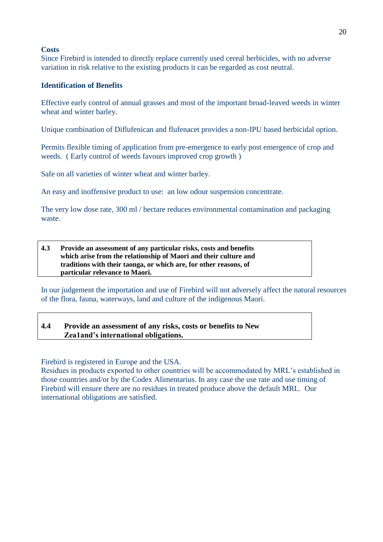#### **Costs**

Since Firebird is intended to directly replace currently used cereal herbicides, with no adverse variation in risk relative to the existing products it can be regarded as cost neutral.

#### **Identification of Benefits**

Effective early control of annual grasses and most of the important broad-leaved weeds in winter wheat and winter barley.

Unique combination of Diflufenican and flufenacet provides a non-IPU based herbicidal option.

Permits flexible timing of application from pre-emergence to early post emergence of crop and weeds. ( Early control of weeds favours improved crop growth )

Safe on all varieties of winter wheat and winter barley.

An easy and inoffensive product to use: an low odour suspension concentrate.

The very low dose rate, 300 ml / hectare reduces environmental contamination and packaging waste.

#### **4.3 Provide an assessment of any particular risks, costs and benefits which arise from the relationship of Maori and their culture and traditions with their taonga, or which are, for other reasons, of particular relevance to Maori.**

In our judgement the importation and use of Firebird will not adversely affect the natural resources of the flora, fauna, waterways, land and culture of the indigenous Maori.

#### **4.4 Provide an assessment of any risks, costs or benefits to New Zea1and's international obligations.**

Firebird is registered in Europe and the USA.

Residues in products exported to other countries will be accommodated by MRL's established in those countries and/or by the Codex Alimentarius. In any case the use rate and use timing of Firebird will ensure there are no residues in treated produce above the default MRL. Our international obligations are satisfied.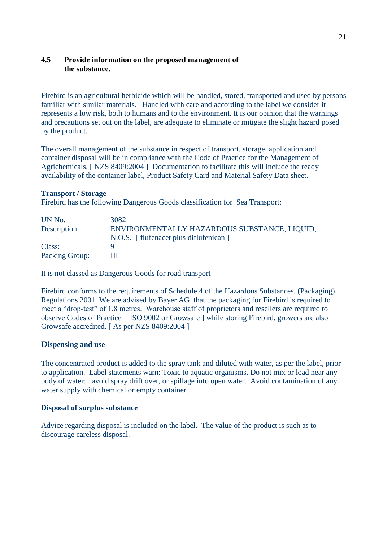### **4.5 Provide information on the proposed management of the substance.**

Firebird is an agricultural herbicide which will be handled, stored, transported and used by persons familiar with similar materials. Handled with care and according to the label we consider it represents a low risk, both to humans and to the environment. It is our opinion that the warnings and precautions set out on the label, are adequate to eliminate or mitigate the slight hazard posed by the product.

The overall management of the substance in respect of transport, storage, application and container disposal will be in compliance with the Code of Practice for the Management of Agrichemicals. [ NZS 8409:2004 ] Documentation to facilitate this will include the ready availability of the container label, Product Safety Card and Material Safety Data sheet.

#### **Transport / Storage**

Firebird has the following Dangerous Goods classification for Sea Transport:

| UN No.         | 3082                                         |
|----------------|----------------------------------------------|
| Description:   | ENVIRONMENTALLY HAZARDOUS SUBSTANCE, LIQUID, |
|                | N.O.S. [ flufenacet plus diflufenican ]      |
| Class:         |                                              |
| Packing Group: |                                              |

It is not classed as Dangerous Goods for road transport

Firebird conforms to the requirements of Schedule 4 of the Hazardous Substances. (Packaging) Regulations 2001. We are advised by Bayer AG that the packaging for Firebird is required to meet a "drop-test" of 1.8 metres. Warehouse staff of proprietors and resellers are required to observe Codes of Practice [ ISO 9002 or Growsafe ] while storing Firebird, growers are also Growsafe accredited. [ As per NZS 8409:2004 ]

### **Dispensing and use**

The concentrated product is added to the spray tank and diluted with water, as per the label, prior to application. Label statements warn: Toxic to aquatic organisms. Do not mix or load near any body of water: avoid spray drift over, or spillage into open water. Avoid contamination of any water supply with chemical or empty container.

#### **Disposal of surplus substance**

Advice regarding disposal is included on the label. The value of the product is such as to discourage careless disposal.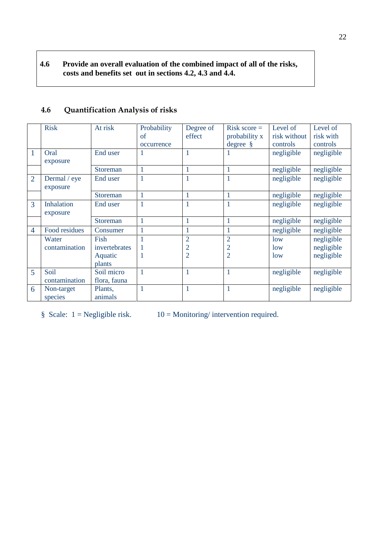### **4.6 Provide an overall evaluation of the combined impact of all of the risks, costs and benefits set out in sections 4.2, 4.3 and 4.4.**

|                | <b>Risk</b>       | At risk       | Probability | Degree of      | Risk score $=$ | Level of        | Level of   |
|----------------|-------------------|---------------|-------------|----------------|----------------|-----------------|------------|
|                |                   |               | of          | effect         | probability x  | risk without    | risk with  |
|                |                   |               | occurrence  |                | $degree \$     | controls        | controls   |
| 1              | Oral              | End user      | 1           |                | 1              | negligible      | negligible |
|                | exposure          |               |             |                |                |                 |            |
|                |                   | Storeman      | 1           | 1              | $\mathbf{1}$   | negligible      | negligible |
| $\overline{2}$ | Dermal / eye      | End user      | 1           | $\mathbf{1}$   | 1              | negligible      | negligible |
|                | exposure          |               |             |                |                |                 |            |
|                |                   | Storeman      | 1           | 1              | 1              | negligible      | negligible |
| 3              | <b>Inhalation</b> | End user      | 1           | 1              | $\mathbf{1}$   | negligible      | negligible |
|                | exposure          |               |             |                |                |                 |            |
|                |                   | Storeman      | 1           | 1              | 1              | negligible      | negligible |
| $\overline{4}$ | Food residues     | Consumer      | 1           | 1              | 1              | negligible      | negligible |
|                | Water             | Fish          | 1           | $\overline{2}$ | $\overline{2}$ | low             | negligible |
|                | contamination     | invertebrates | 1           | $\overline{2}$ | $\overline{2}$ | 1 <sub>ow</sub> | negligible |
|                |                   | Aquatic       | 1           | $\overline{2}$ | $\overline{2}$ | low             | negligible |
|                |                   | plants        |             |                |                |                 |            |
| $\overline{5}$ | Soil              | Soil micro    | 1           | 1              | 1              | negligible      | negligible |
|                | contamination     | flora, fauna  |             |                |                |                 |            |
| 6              | Non-target        | Plants,       | 1           | 1              | 1              | negligible      | negligible |
|                | species           | animals       |             |                |                |                 |            |

### **4.6 Quantification Analysis of risks**

§ Scale:  $1 = Negligible risk.$  10 = Monitoring/ intervention required.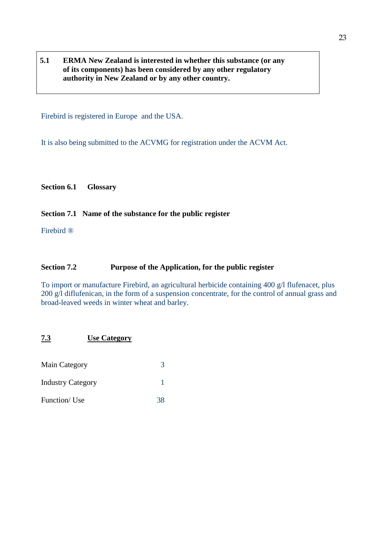**5.1 ERMA New Zealand is interested in whether this substance (or any of its components) has been considered by any other regulatory authority in New Zealand or by any other country.**

Firebird is registered in Europe and the USA.

It is also being submitted to the ACVMG for registration under the ACVM Act.

**Section 6.1 Glossary**

#### **Section 7.1 Name of the substance for the public register**

Firebird ®

#### **Section 7.2 Purpose of the Application, for the public register**

To import or manufacture Firebird, an agricultural herbicide containing 400 g/l flufenacet, plus 200 g/l diflufenican, in the form of a suspension concentrate, for the control of annual grass and broad-leaved weeds in winter wheat and barley.

### **7.3 Use Category**

| Main Category            | 3  |
|--------------------------|----|
| <b>Industry Category</b> |    |
| Function/Use             | 38 |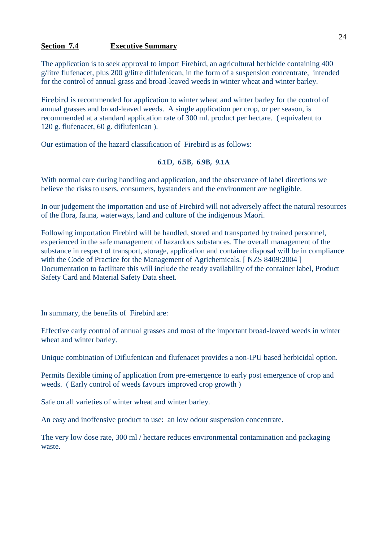#### **Section 7.4 Executive Summary**

The application is to seek approval to import Firebird, an agricultural herbicide containing 400 g/litre flufenacet, plus 200 g/litre diflufenican, in the form of a suspension concentrate, intended for the control of annual grass and broad-leaved weeds in winter wheat and winter barley.

Firebird is recommended for application to winter wheat and winter barley for the control of annual grasses and broad-leaved weeds. A single application per crop, or per season, is recommended at a standard application rate of 300 ml. product per hectare. ( equivalent to 120 g. flufenacet, 60 g. diflufenican ).

Our estimation of the hazard classification of Firebird is as follows:

#### **6.1D, 6.5B, 6.9B, 9.1A**

With normal care during handling and application, and the observance of label directions we believe the risks to users, consumers, bystanders and the environment are negligible.

In our judgement the importation and use of Firebird will not adversely affect the natural resources of the flora, fauna, waterways, land and culture of the indigenous Maori.

Following importation Firebird will be handled, stored and transported by trained personnel, experienced in the safe management of hazardous substances. The overall management of the substance in respect of transport, storage, application and container disposal will be in compliance with the Code of Practice for the Management of Agrichemicals. [ NZS 8409:2004 ] Documentation to facilitate this will include the ready availability of the container label, Product Safety Card and Material Safety Data sheet.

In summary, the benefits of Firebird are:

Effective early control of annual grasses and most of the important broad-leaved weeds in winter wheat and winter barley.

Unique combination of Diflufenican and flufenacet provides a non-IPU based herbicidal option.

Permits flexible timing of application from pre-emergence to early post emergence of crop and weeds. ( Early control of weeds favours improved crop growth )

Safe on all varieties of winter wheat and winter barley.

An easy and inoffensive product to use: an low odour suspension concentrate.

The very low dose rate, 300 ml / hectare reduces environmental contamination and packaging waste.